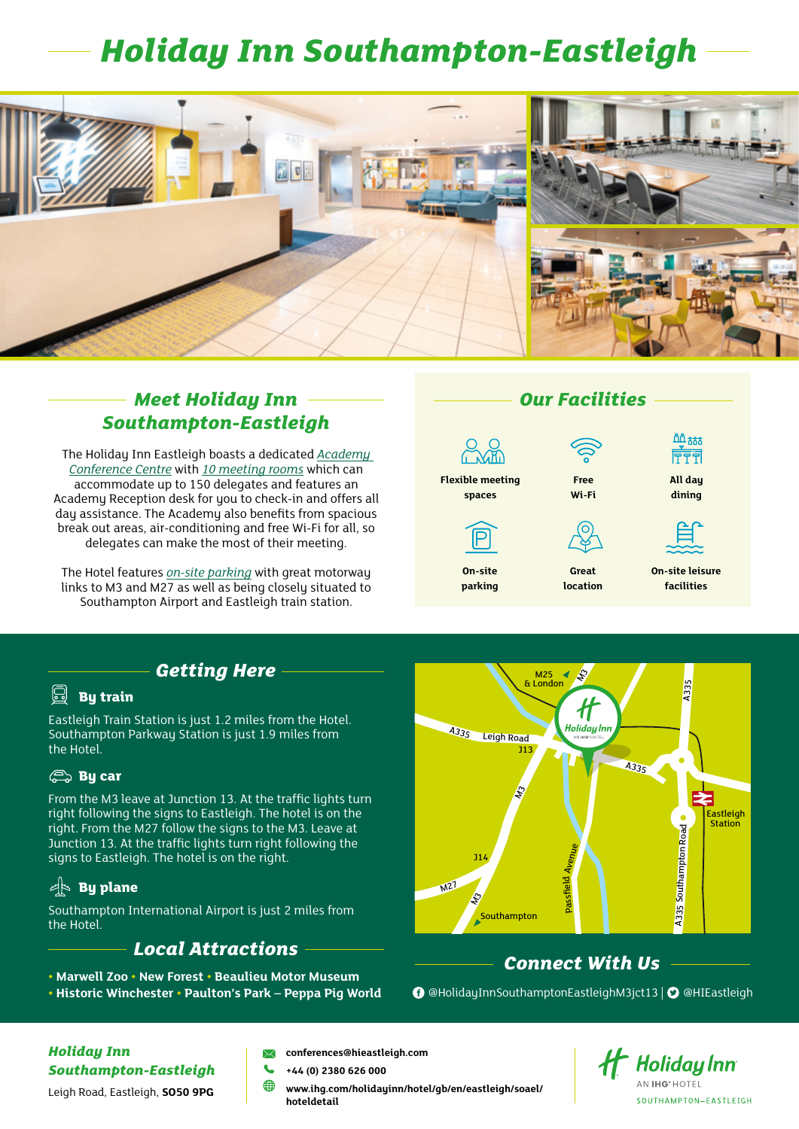# *Holiday Inn Southampton-Eastleigh*



#### *Meet Holiday Inn Southampton-Eastleigh*

The Holiday Inn Eastleigh boasts a dedicated *Academy Conference Centre* with *10 meeting rooms* which can accommodate up to 150 delegates and features an Academy Reception desk for you to check-in and offers all day assistance. The Academy also benefits from spacious break out areas, air-conditioning and free Wi-Fi for all, so delegates can make the most of their meeting.

The Hotel features *on-site parking* with great motorway links to M3 and M27 as well as being closely situated to Southampton Airport and Eastleigh train station.



#### *Getting Here*

#### 囼 **By train**

Eastleigh Train Station is just 1.2 miles from the Hotel. Southampton Parkway Station is just 1.9 miles from the Hotel.

#### **By car**

From the M3 leave at Junction 13. At the traffic lights turn right following the signs to Eastleigh. The hotel is on the right. From the M27 follow the signs to the M3. Leave at Junction 13. At the traffic lights turn right following the signs to Eastleigh. The hotel is on the right.

#### **By plane**

Southampton International Airport is just 2 miles from the Hotel.

#### *Local Attractions*

- **Marwell Zoo New Forest Beaulieu Motor Museum**
- $M25 \rightarrow \frac{1}{2}$ A335 11 **Holiday** Inn A335 Leigh Road J13 A<sub>335</sub>  $\mathcal{L}$ Eastleigh **Station A335 Southampton Road** Southampton Road Avenue J14 Passfield  $M<sup>2</sup>$  $\mathcal{L}$ Southampton

### *Connect With Us*

**• Historic Winchester • Paulton's Park – Peppa Pig World** [@HolidayInnSouthamptonEastleighM3jct13 |](https://www.facebook.com/HolidayInnSouthamptonEastleighM3jct13) [@HI](https://twitter.com/HIEastleigh)Eastleigh

*Holiday Inn Southampton-Eastleigh*

Leigh Road, Eastleigh, **SO50 9PG**

- **[conferences@hieastleigh.com](mailto:conferences%40hieastleigh.com%0D?subject=Meeting%20enquiry)**
- **+44 (0) 2380 626 000**
- **⊕ [www.ihg.com/](https://www.ihg.com/holidayinn/hotels/gb/en/southampton/soahp/hoteldetail)holidayinn/hotel/gb/en/eastleigh/soael/ hoteldetail**